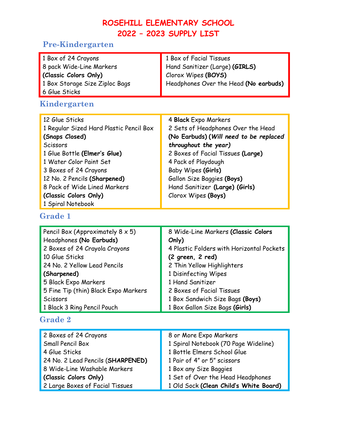# **ROSEHILL ELEMENTARY SCHOOL 2022 – 2023 SUPPLY LIST**

# **Pre-Kindergarten**

| 1 Box of 24 Crayons<br>8 pack Wide-Line Markers<br>(Classic Colors Only)<br>1 Box Storage Size Ziploc Bags<br>6 Glue Sticks                                                                                                                                                                      | 1 Box of Facial Tissues<br>Hand Sanitizer (Large) (GIRLS)<br>Clorox Wipes (BOYS)<br>Headphones Over the Head (No earbuds)                                                                                                                                                                             |  |
|--------------------------------------------------------------------------------------------------------------------------------------------------------------------------------------------------------------------------------------------------------------------------------------------------|-------------------------------------------------------------------------------------------------------------------------------------------------------------------------------------------------------------------------------------------------------------------------------------------------------|--|
| Kindergarten                                                                                                                                                                                                                                                                                     |                                                                                                                                                                                                                                                                                                       |  |
| 12 Glue Sticks<br>1 Regular Sized Hard Plastic Pencil Box<br>(Snaps Closed)<br><b>Scissors</b><br>1 Glue Bottle (Elmer's Glue)<br>1 Water Color Paint Set<br>3 Boxes of 24 Crayons<br>12 No. 2 Pencils (Sharpened)<br>8 Pack of Wide Lined Markers<br>(Classic Colors Only)<br>1 Spiral Notebook | 4 Black Expo Markers<br>2 Sets of Headphones Over the Head<br>(No Earbuds) (Will need to be replaced<br>throughout the year)<br>2 Boxes of Facial Tissues (Large)<br>4 Pack of Playdough<br>Baby Wipes (Girls)<br>Gallon Size Baggies (Boys)<br>Hand Sanitizer (Large) (Girls)<br>Clorox Wipes (Boys) |  |

#### **Grade 1**

| Pencil Box (Approximately $8 \times 5$ ) | 8 Wide-Line Markers (Classic Colors       |
|------------------------------------------|-------------------------------------------|
| Headphones (No Earbuds)                  | Only)                                     |
| 2 Boxes of 24 Crayola Crayons            | 4 Plastic Folders with Horizontal Pockets |
| 10 Glue Sticks                           | (2 green, 2 red)                          |
| 24 No. 2 Yellow Lead Pencils             | 2 Thin Yellow Highlighters                |
| (Sharpened)                              | 1 Disinfecting Wipes                      |
| 5 Black Expo Markers                     | 1 Hand Sanitizer                          |
| 5 Fine Tip (thin) Black Expo Markers     | 2 Boxes of Facial Tissues                 |
| Scissors                                 | 1 Box Sandwich Size Bags (Boys)           |
| 1 Black 3 Ring Pencil Pouch              | 1 Box Gallon Size Bags (Girls)            |

# **Grade 2**

| 2 Boxes of 24 Crayons             | 8 or More Expo Markers                 |
|-----------------------------------|----------------------------------------|
| Small Pencil Box                  | 1 Spiral Notebook (70 Page Wideline)   |
| 4 Glue Sticks                     | 1 Bottle Elmers School Glue            |
| 24 No. 2 Lead Pencils (SHARPENED) | 1 Pair of 4" or 5" scissors            |
| 8 Wide-Line Washable Markers      | 1 Box any Size Baggies                 |
| (Classic Colors Only)             | 1 Set of Over the Head Headphones      |
| 2 Large Boxes of Facial Tissues   | 1 Old Sock (Clean Child's White Board) |